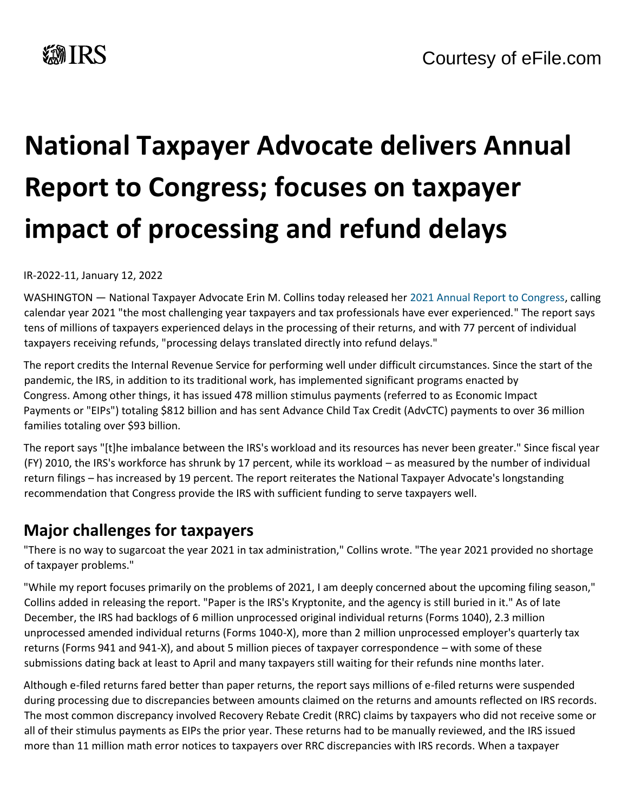## **National Taxpayer Advocate delivers Annual Report to Congress; focuses on taxpayer impact of processing and refund delays**

IR-2022-11, January 12, 2022

WASHINGTON — National Taxpayer Advocate Erin M. Collins today released her [2021 Annual Report to Congress, c](https://www.taxpayeradvocate.irs.gov/AnnualReport2021)alling calendar year 2021 "the most challenging year taxpayers and tax professionals have ever experienced." The report says tens of millions of taxpayers experienced delays in the processing of their returns, and with 77 percent of individual taxpayers receiving refunds, "processing delays translated directly into refund delays."

The report credits the Internal Revenue Service for performing well under difficult circumstances. Since the start of the pandemic, the IRS, in addition to its traditional work, has implemented significant programs enacted by Congress. Among other things, it has issued 478 million stimulus payments (referred to as Economic Impact Payments or "EIPs") totaling \$812 billion and has sent Advance Child Tax Credit (AdvCTC) payments to over 36 million families totaling over \$93 billion.

The report says "[t]he imbalance between the IRS's workload and its resources has never been greater." Since fiscal year (FY) 2010, the IRS's workforce has shrunk by 17 percent, while its workload – as measured by the number of individual return filings – has increased by 19 percent. The report reiterates the National Taxpayer Advocate's longstanding recommendation that Congress provide the IRS with sufficient funding to serve taxpayers well.

## **Major challenges for taxpayers**

"There is no way to sugarcoat the year 2021 in tax administration," Collins wrote. "The year 2021 provided no shortage of taxpayer problems."

"While my report focuses primarily on the problems of 2021, I am deeply concerned about the upcoming filing season," Collins added in releasing the report. "Paper is the IRS's Kryptonite, and the agency is still buried in it." As of late December, the IRS had backlogs of 6 million unprocessed original individual returns (Forms 1040), 2.3 million unprocessed amended individual returns (Forms 1040-X), more than 2 million unprocessed employer's quarterly tax returns (Forms 941 and 941-X), and about 5 million pieces of taxpayer correspondence – with some of these submissions dating back at least to April and many taxpayers still waiting for their refunds nine months later.

Although e-filed returns fared better than paper returns, the report says millions of e-filed returns were suspended during processing due to discrepancies between amounts claimed on the returns and amounts reflected on IRS records. The most common discrepancy involved Recovery Rebate Credit (RRC) claims by taxpayers who did not receive some or all of their stimulus payments as EIPs the prior year. These returns had to be manually reviewed, and the IRS issued more than 11 million math error notices to taxpayers over RRC discrepancies with IRS records. When a taxpayer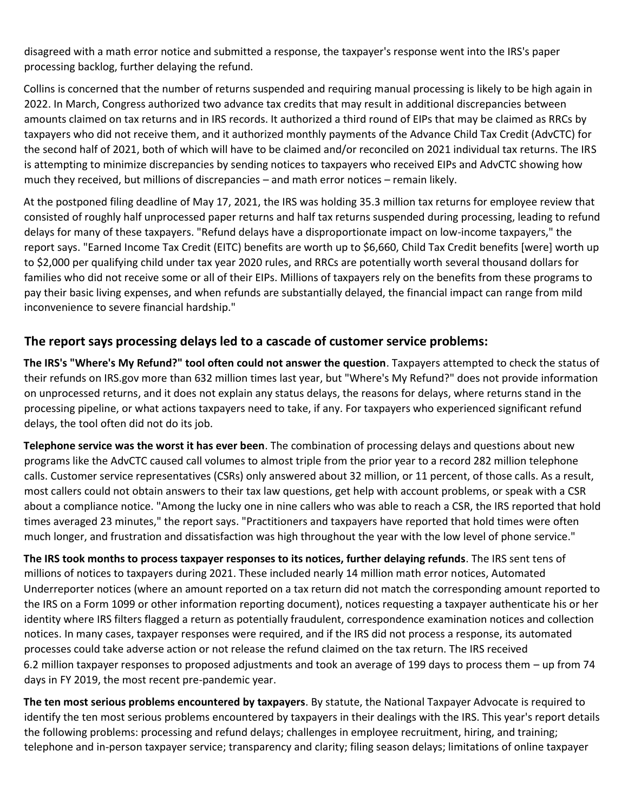disagreed with a math error notice and submitted a response, the taxpayer's response went into the IRS's paper processing backlog, further delaying the refund.

Collins is concerned that the number of returns suspended and requiring manual processing is likely to be high again in 2022. In March, Congress authorized two advance tax credits that may result in additional discrepancies between amounts claimed on tax returns and in IRS records. It authorized a third round of EIPs that may be claimed as RRCs by taxpayers who did not receive them, and it authorized monthly payments of the Advance Child Tax Credit (AdvCTC) for the second half of 2021, both of which will have to be claimed and/or reconciled on 2021 individual tax returns. The IRS is attempting to minimize discrepancies by sending notices to taxpayers who received EIPs and AdvCTC showing how much they received, but millions of discrepancies – and math error notices – remain likely.

At the postponed filing deadline of May 17, 2021, the IRS was holding 35.3 million tax returns for employee review that consisted of roughly half unprocessed paper returns and half tax returns suspended during processing, leading to refund delays for many of these taxpayers. "Refund delays have a disproportionate impact on low-income taxpayers," the report says. "Earned Income Tax Credit (EITC) benefits are worth up to \$6,660, Child Tax Credit benefits [were] worth up to \$2,000 per qualifying child under tax year 2020 rules, and RRCs are potentially worth several thousand dollars for families who did not receive some or all of their EIPs. Millions of taxpayers rely on the benefits from these programs to pay their basic living expenses, and when refunds are substantially delayed, the financial impact can range from mild inconvenience to severe financial hardship."

## **The report says processing delays led to a cascade of customer service problems:**

**The IRS's "Where's My Refund?" tool often could not answer the question**. Taxpayers attempted to check the status of their refunds on IRS.gov more than 632 million times last year, but "Where's My Refund?" does not provide information on unprocessed returns, and it does not explain any status delays, the reasons for delays, where returns stand in the processing pipeline, or what actions taxpayers need to take, if any. For taxpayers who experienced significant refund delays, the tool often did not do its job.

**Telephone service was the worst it has ever been**. The combination of processing delays and questions about new programs like the AdvCTC caused call volumes to almost triple from the prior year to a record 282 million telephone calls. Customer service representatives (CSRs) only answered about 32 million, or 11 percent, of those calls. As a result, most callers could not obtain answers to their tax law questions, get help with account problems, or speak with a CSR about a compliance notice. "Among the lucky one in nine callers who was able to reach a CSR, the IRS reported that hold times averaged 23 minutes," the report says. "Practitioners and taxpayers have reported that hold times were often much longer, and frustration and dissatisfaction was high throughout the year with the low level of phone service."

**The IRS took months to process taxpayer responses to its notices, further delaying refunds**. The IRS sent tens of millions of notices to taxpayers during 2021. These included nearly 14 million math error notices, Automated Underreporter notices (where an amount reported on a tax return did not match the corresponding amount reported to the IRS on a Form 1099 or other information reporting document), notices requesting a taxpayer authenticate his or her identity where IRS filters flagged a return as potentially fraudulent, correspondence examination notices and collection notices. In many cases, taxpayer responses were required, and if the IRS did not process a response, its automated processes could take adverse action or not release the refund claimed on the tax return. The IRS received 6.2 million taxpayer responses to proposed adjustments and took an average of 199 days to process them – up from 74 days in FY 2019, the most recent pre-pandemic year.

**The ten most serious problems encountered by taxpayers**. By statute, the National Taxpayer Advocate is required to identify the ten most serious problems encountered by taxpayers in their dealings with the IRS. This year's report details the following problems: processing and refund delays; challenges in employee recruitment, hiring, and training; telephone and in-person taxpayer service; transparency and clarity; filing season delays; limitations of online taxpayer